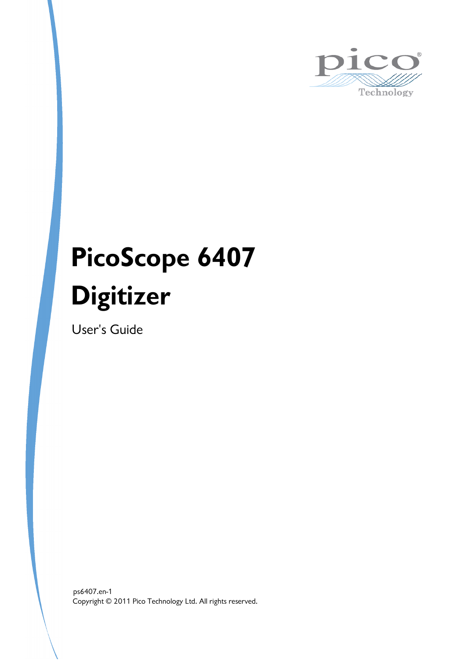

# **PicoScope 6407 Digitizer**

User's Guide

Copyright © 2011 Pico Technology Ltd. All rights reserved. ps6407.en-1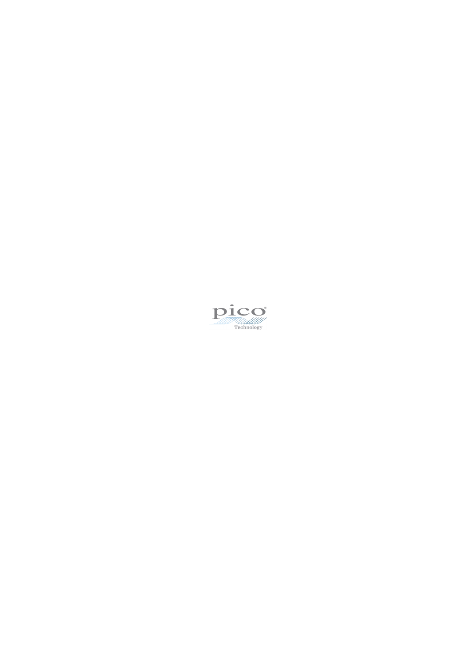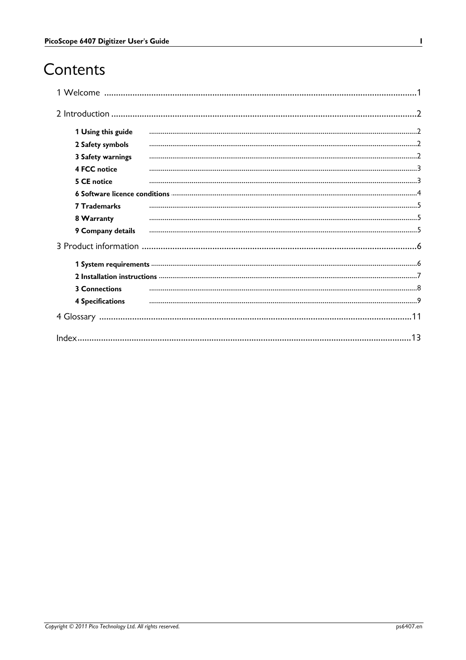# Contents

| 1 Using this guide      |                                                                                                   |
|-------------------------|---------------------------------------------------------------------------------------------------|
| 2 Safety symbols        |                                                                                                   |
| 3 Safety warnings       |                                                                                                   |
| <b>4 FCC notice</b>     |                                                                                                   |
| 5 CE notice             |                                                                                                   |
|                         |                                                                                                   |
| <b>7 Trademarks</b>     |                                                                                                   |
| 8 Warranty              |                                                                                                   |
|                         | 9 Company details <b>communically constant of the contract of the contract of company details</b> |
|                         |                                                                                                   |
|                         |                                                                                                   |
|                         |                                                                                                   |
| <b>3 Connections</b>    |                                                                                                   |
| <b>4 Specifications</b> |                                                                                                   |
|                         |                                                                                                   |
|                         |                                                                                                   |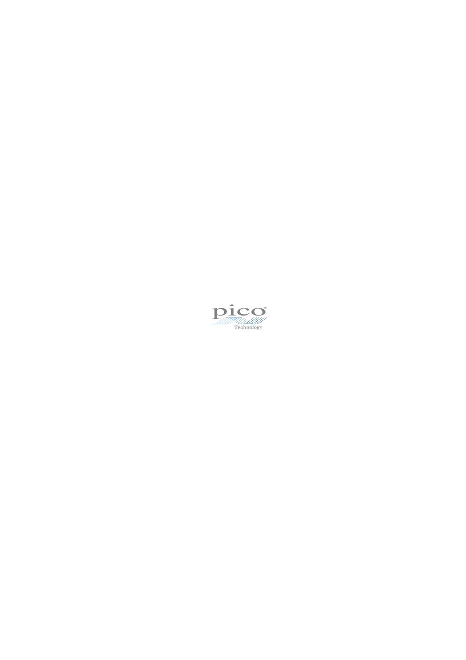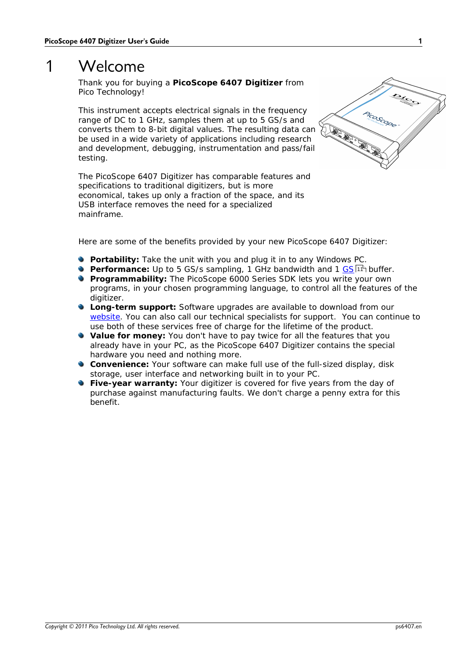# <span id="page-4-0"></span>1 Welcome

Thank you for buying a **PicoScope 6407 Digitizer** from Pico Technology!

This instrument accepts electrical signals in the frequency range of DC to 1 GHz, samples them at up to 5 GS/s and converts them to 8-bit digital values. The resulting data can be used in a wide variety of applications including research and development, debugging, instrumentation and pass/fail testing.

The PicoScope 6407 Digitizer has comparable features and specifications to traditional digitizers, but is more economical, takes up only a fraction of the space, and its USB interface removes the need for a specialized mainframe.



Here are some of the benefits provided by your new PicoScope 6407 Digitizer:

- **Portability:** Take the unit with you and plug it in to any Windows PC.
- Performance: Up to 5 [GS](#page-14-1)/s sampling, 1 GHz bandwidth and 1 <u>GS</u>|11 buffer.
- **P** Programmability: The PicoScope 6000 Series SDK lets you write your own programs, in your chosen programming language, to control all the features of the digitizer.
- **Long-term support:** Software upgrades are available to download from our [website](http://www.picotech.com). You can also call our technical specialists for support. You can continue to use both of these services free of charge for the lifetime of the product.
- **Value for money:** You don't have to pay twice for all the features that you already have in your PC, as the PicoScope 6407 Digitizer contains the special hardware you need and nothing more.
- **Convenience:** Your software can make full use of the full-sized display, disk storage, user interface and networking built in to your PC.
- **Five-year warranty:** Your digitizer is covered for five years from the day of purchase against manufacturing faults. We don't charge a penny extra for this benefit.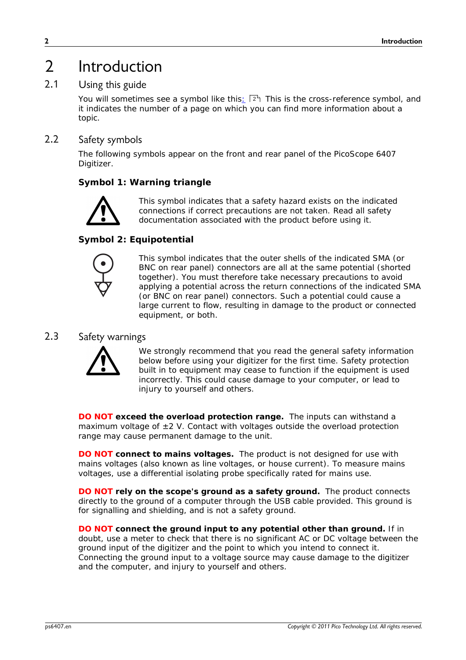# <span id="page-5-0"></span>2 Introduction

### 2.1 Using this guide

You will sometimes see a symbol like this $_2$   $\mid$   $2^{\mathsf{h}}$  This is the cross-reference symbol, and it indicates the number of a page on which you can find more information about a topic.

### <span id="page-5-1"></span>2.2 Safety symbols

The following symbols appear on the front and rear panel of the PicoScope 6407 Digitizer.

### **Symbol 1: Warning triangle**



This symbol indicates that a safety hazard exists on the indicated connections if correct precautions are not taken. Read all safety documentation associated with the product before using it.

### **Symbol 2: Equipotential**



This symbol indicates that the outer shells of the indicated SMA (or BNC on rear panel) connectors are all at the same potential (shorted together). You must therefore take necessary precautions to avoid applying a potential across the return connections of the indicated SMA (or BNC on rear panel) connectors. Such a potential could cause a large current to flow, resulting in damage to the product or connected equipment, or both.

### <span id="page-5-2"></span>2.3 Safety warnings



We strongly recommend that you read the general safety information below before using your digitizer for the first time. Safety protection built in to equipment may cease to function if the equipment is used incorrectly. This could cause damage to your computer, or lead to injury to yourself and others.

**DO NOT exceed the overload protection range.** The inputs can withstand a maximum voltage of  $\pm 2$  V. Contact with voltages outside the overload protection range may cause permanent damage to the unit.

**DO NOT connect to mains voltages.** The product is notdesigned for use with mains voltages (also known as line voltages, or house current). To measure mains voltages, use a differential isolating probe specifically rated for mains use.

**DO NOT rely on the scope's ground as a safety ground.** The product connects directly to the ground of a computer through the USB cable provided. This ground is for signalling and shielding, and is not a safety ground.

**DO NOT connect the ground input to any potential other than ground.** If in doubt, use a meter to check that there is no significant AC or DC voltage between the ground input ofthe digitizer and the point to which you intend to connect it. Connecting the ground input to a voltage source may cause damage to the digitizer and the computer, and injury to yourself and others.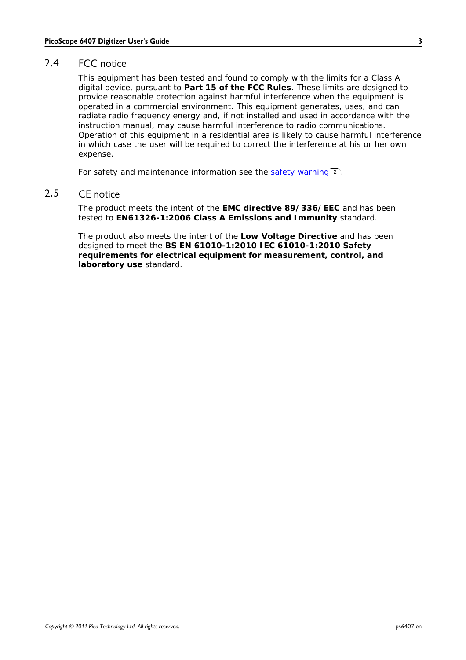### <span id="page-6-0"></span>2.4 FCC notice

This equipment has been tested and found to comply with the limits for a Class A digital device, pursuant to **Part 15 of the FCC Rules**. These limits are designed to provide reasonable protection against harmful interference when the equipment is operated in a commercial environment. This equipment generates, uses, and can radiate radio frequency energy and, if not installed and used in accordance with the instruction manual, may cause harmful interference to radio communications. Operation of this equipment in a residential area is likely to cause harmful interference in which case the user will be required to correct the interference at his or her own expense.

For safety and maintenance information see the <u>safety [warning](#page-5-2)</u> . 2ª.

### <span id="page-6-1"></span>2.5 CE notice

The product meets the intent of the **EMC directive 89/336/EEC** and has been tested to **EN61326-1:2006 Class A Emissions and Immunity** standard.

The product also meets the intent of the **Low Voltage Directive** and has been designed to meet the **BS EN 61010-1:2010 IEC 61010-1:2010 Safety requirements for electrical equipment for measurement, control, and laboratory use** standard.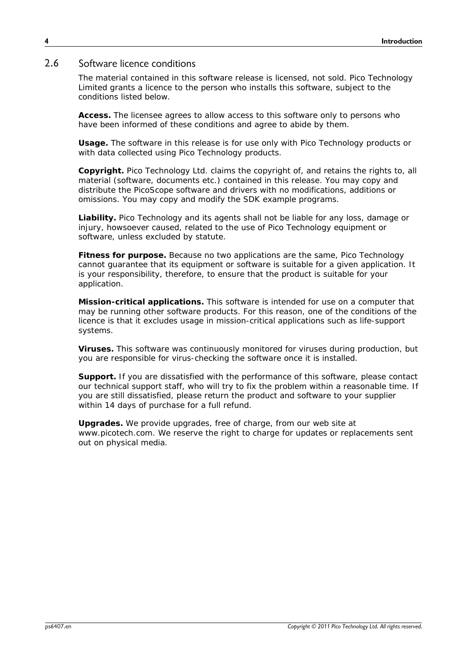### <span id="page-7-0"></span>2.6 Software licence conditions

The material contained in this software release is licensed, not sold. Pico Technology Limited grants a licence to the person who installs this software, subject to the conditions listed below.

**Access.** The licensee agrees to allow access to this software only to persons who have been informed of these conditions and agree to abide by them.

**Usage.** The software in this release isfor use only with Pico Technology products or with data collected using Pico Technology products.

**Copyright.** Pico Technology Ltd. claims the copyright of, and retains the rights to, all material (software, documents etc.) contained in this release. You may copy and distribute the PicoScope software and drivers with no modifications, additions or omissions. You may copy and modify the SDK example programs.

**Liability.** Pico Technology and its agents shall not be liable for any loss, damage or injury, howsoever caused, related to the use of Pico Technology equipment or software, unless excluded by statute.

**Fitness for purpose.** Because no two applications are the same, Pico Technology cannot guarantee that its equipment or software is suitable for a given application. It is your responsibility, therefore, to ensure that the product is suitable for your application.

**Mission-critical applications.** This software is intended for use on a computer that may be running other software products. For this reason, one of the conditions of the licence is that it excludes usage in mission-critical applications such as life-support systems.

**Viruses.** This software was continuously monitored for viruses during production, but you are responsible for virus-checking the software once it is installed.

**Support.** If you are dissatisfied with the performance of this software, please contact our technical support staff, who will try to fix the problem within a reasonable time. If you are still dissatisfied, please return the product and software to your supplier within 14 days of purchase for a full refund.

**Upgrades.** We provide upgrades, free of charge, from our web site at www.picotech.com. We reserve the right to charge for updates or replacements sent out on physical media.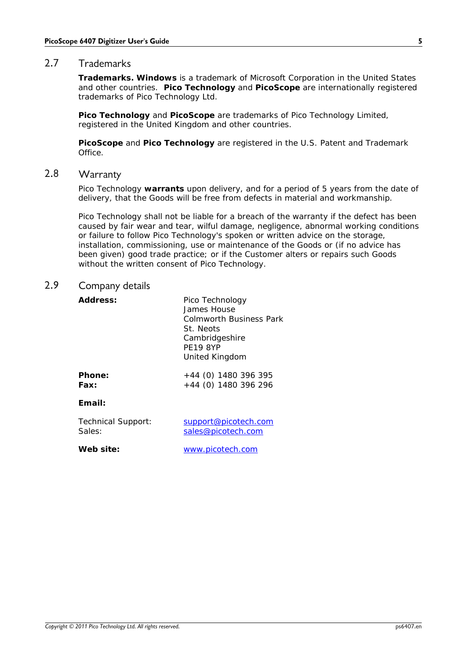### <span id="page-8-0"></span>2.7 Trademarks

Trademarks. Windows is a trademark of Microsoft Corporation in the United States and other countries. Pico Technology and PicoScope are internationally registered trademarks of Pico Technology Ltd.

**Pico Technology** and **PicoScope** are trademarks of Pico Technology Limited, registered in the United Kingdom and other countries.

**PicoScope** and **Pico Technology** are registered in the U.S. Patent and Trademark **Office** 

### <span id="page-8-1"></span>2.8 Warranty

Pico Technology **warrants** upon delivery, and for a period of 5 years from the date of delivery, that the Goods will be free from defects in material and workmanship.

Pico Technology shall not be liable for a breach of the warranty if the defect has been caused by fair wear and tear, wilful damage, negligence, abnormal working conditions or failure to follow Pico Technology's spoken or written advice on the storage, installation, commissioning, use or maintenance of the Goods or (if no advice has been given) good trade practice; or if the Customer alters or repairs such Goods without the written consent of Pico Technology.

### <span id="page-8-2"></span>2.9 Company details

| Address:                  | Pico Technology<br>James House<br><b>Colmworth Business Park</b><br>St. Neots<br>Cambridgeshire<br><b>PE19 8YP</b><br>United Kingdom |
|---------------------------|--------------------------------------------------------------------------------------------------------------------------------------|
| Phone:                    | $+44$ (0) 1480 396 395                                                                                                               |
| Fax:                      | +44 (0) 1480 396 296                                                                                                                 |
| Email:                    |                                                                                                                                      |
| <b>Technical Support:</b> | support@picotech.com                                                                                                                 |
| Sales:                    | sales@picotech.com                                                                                                                   |

**Web site:** [www.picotech.com](http://www.picotech.com)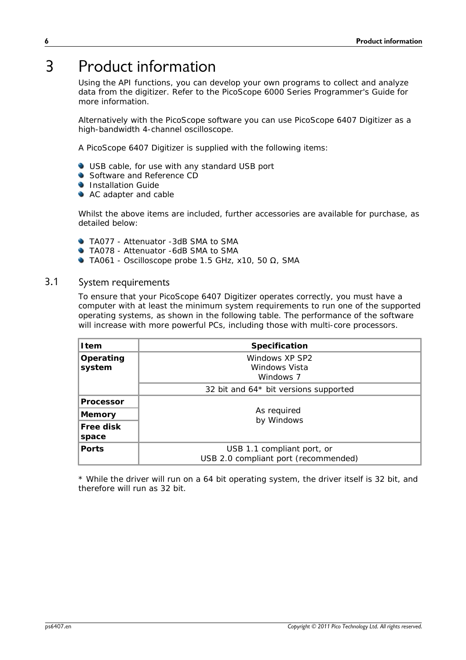# <span id="page-9-0"></span>3 Product information

Using the API functions, you can develop your own programs to collect and analyze data from the digitizer. Refer to the PicoScope 6000 Series Programmer's Guide for more information.

Alternatively with the PicoScope software you can use PicoScope 6407 Digitizer as a high-bandwidth 4-channel oscilloscope.

A PicoScope 6407 Digitizer is supplied with the following items:

- USB cable, for use with any standard USB port
- Software and Reference CD
- **Installation Guide**
- AC adapter and cable

Whilst the above items are included, further accessories are available for purchase, as detailed below:

- **TA077 Attenuator -3dB SMA to SMA**
- TA078 Attenuator -6dB SMA to SMA
- TA061 Oscilloscope probe 1.5 GHz, x10, 50 , SMA

### 3.1 System requirements

To ensure that your PicoScope 6407 Digitizer operates correctly, you must have a computer with at least the minimum system requirements to run one of the supported operating systems, as shown in the following table. The performance of the software will increase with more powerful PCs, including those with multi-core processors.

| I tem               | Specification                                                      |
|---------------------|--------------------------------------------------------------------|
| Operating<br>system | Windows XP SP2<br>Windows Vista<br>Windows 7                       |
|                     | 32 bit and 64* bit versions supported                              |
| Processor           |                                                                    |
| Memory              | As required<br>by Windows                                          |
| Free disk<br>space  |                                                                    |
| Ports               | USB 1.1 compliant port, or<br>USB 2.0 compliant port (recommended) |

\* While the driver will run on a 64 bit operating system, the driver itself is 32 bit, and therefore will run as 32 bit.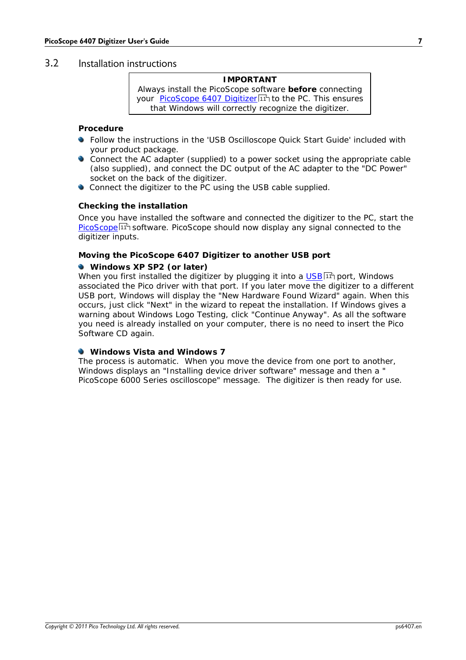### 3.2 Installation instructions

| IMPORTANT                                                             |  |
|-----------------------------------------------------------------------|--|
| Always install the PicoScope software before connecting               |  |
| your PicoScope 6407 Digitizer 11 <sup>1</sup> to the PC. This ensures |  |
| that Windows will correctly recognize the digitizer.                  |  |

**Procedure**

- Follow the instructions in the 'USB Oscilloscope Quick Start Guide' included with your product package.
- Connect the AC adapter (supplied) to a power socket using the appropriate cable (also supplied), and connect the DC output of the AC adapter to the "DC Power" socket on the back of the digitizer.
- Connect the digitizer to the PC using the USB cable supplied.

### **Checking the installation**

Once you have installed the software and connected the digitizer to the PC, start the [PicoScope](#page-14-3) software. PicoScope should now display any signal connected to the 11 digitizer inputs.

**Moving the PicoScope 6407 Digitizer to another USB port**

**Windows XP SP2 (or later)**

When you first installed the digitizer by plugging it into a <u>[USB](#page-14-4)</u>|1<sup>A</sup> port, Windows associated the Pico driver with that port. If you later move the digitizer to a different USB port, Windows will display the "New Hardware Found Wizard" again. When this occurs, just click "Next" in the wizard to repeat the installation. If Windows gives a warning about Windows Logo Testing, click "Continue Anyway". As all the software you need is already installed on your computer, there is no need to insert the Pico Software CD again.

### **Windows Vista and Windows 7**

The process is automatic. When you move the device from one port to another, Windows displays an "Installing device driver software" message and then a " PicoScope 6000 Series oscilloscope" message. The digitizer is then ready for use.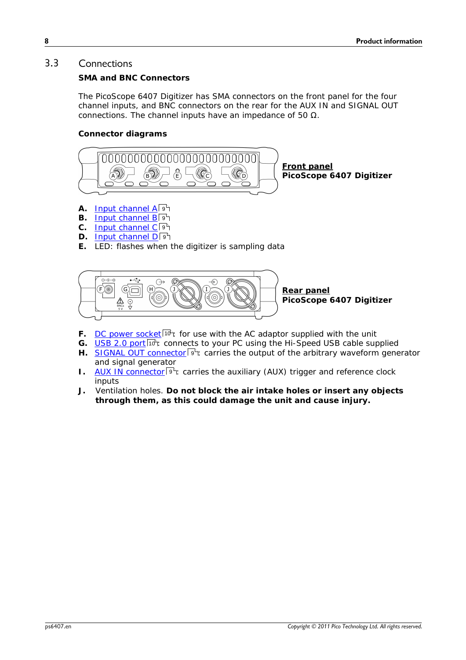### <span id="page-11-0"></span>3.3 Connections

**SMA and BNC Connectors**

The PicoScope 6407 Digitizer has SMA connectors on the front panel for the four channel inputs, and BNC connectors on the rear for the AUX IN and SIGNAL OUT connections. The channel inputs have an impedance of 50 .

**Connector diagrams**



- **A.** Input [channel](#page-12-1) A 9
- B. Input [channel](#page-12-1) BI 9 9
- C. Input [channel](#page-12-1) C<sup>19</sup>
- **D.** Input [channel](#page-12-1) D  $9^h$
- **E.** LED: flashes when the digitizer is sampling data



- F. DC power [socket](#page-13-0) <sup>| 10</sup> i for use with the AC adaptor supplied with the unit
- G. [USB](#page-13-1) 2.0 port<sup>|10</sup> : connects to your PC using the Hi-Speed USB cable supplied
- H. SIGNAL OUT [connector](#page-12-2)<sup>| gh</sup>: carries the output of the arbitrary waveform generator and signal generator
- 1. AUX IN [connector](#page-12-3)<sup>| gh</sup>: carries the auxiliary (AUX) trigger and reference clock inputs
- **J.** Ventilation holes. **Do not block the air intake holes orinsert any objects through them, as this could damage the unit and cause injury.**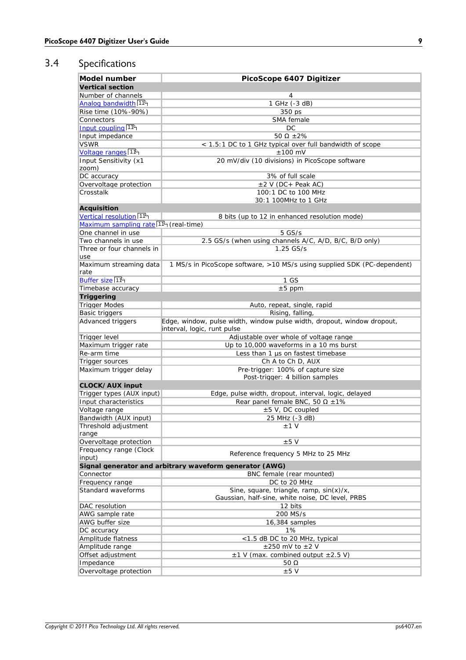# <span id="page-12-0"></span>3.4 Specifications

<span id="page-12-3"></span><span id="page-12-2"></span><span id="page-12-1"></span>

| Model number                                       | PicoScope 6407 Digitizer                                                 |
|----------------------------------------------------|--------------------------------------------------------------------------|
| Vertical section                                   |                                                                          |
| Number of channels                                 | 4                                                                        |
| Analog bandwidth 11 <sup>h</sup>                   | 1 GHz (-3 dB)                                                            |
| Rise time (10%-90%)                                | 350 ps                                                                   |
| Connectors                                         | SMA female                                                               |
| Input coupling 11                                  | DC.                                                                      |
| Input impedance                                    | 50<br>$±2\%$                                                             |
| <b>VSWR</b>                                        | < 1.5:1 DC to 1 GHz typical over full bandwidth of scope                 |
| Voltage ranges <sup>11</sup>                       | $±100$ mV                                                                |
| Input Sensitivity (x1                              | 20 mV/div (10 divisions) in PicoScope software                           |
| zoom)                                              |                                                                          |
| DC accuracy                                        | 3% of full scale                                                         |
| Overvoltage protection                             | $\pm 2$ V (DC + Peak AC)                                                 |
| Crosstalk                                          | 100:1 DC to 100 MHz                                                      |
|                                                    | 30:1 100MHz to 1 GHz                                                     |
|                                                    |                                                                          |
| Acquisition<br>Vertical resolution 11 <sup>A</sup> |                                                                          |
|                                                    | 8 bits (up to 12 in enhanced resolution mode)                            |
| Maximum sampling rate <sup>[114]</sup> (real-time) |                                                                          |
| One channel in use                                 | $5$ GS/s                                                                 |
| Two channels in use                                | 2.5 GS/s (when using channels A/C, A/D, B/C, B/D only)                   |
| Three or four channels in<br>use                   | $1.25$ GS/s                                                              |
| Maximum streaming data<br>rate                     | 1 MS/s in PicoScope software, >10 MS/s using supplied SDK (PC-dependent) |
| Buffer size 11 <sup>h</sup>                        | 1 GS                                                                     |
| Timebase accuracy                                  | $\pm 5$ ppm                                                              |
| Triggering                                         |                                                                          |
| <b>Trigger Modes</b>                               | Auto, repeat, single, rapid                                              |
| Basic triggers                                     | Rising, falling,                                                         |
| Advanced triggers                                  | Edge, window, pulse width, window pulse width, dropout, window dropout,  |
|                                                    | interval, logic, runt pulse                                              |
| Trigger level                                      | Adjustable over whole of voltage range                                   |
| Maximum trigger rate                               | Up to 10,000 waveforms in a 10 ms burst                                  |
| Re-arm time                                        | Less than $1 \mu s$ on fastest timebase                                  |
| Trigger sources                                    | Ch A to Ch D, AUX                                                        |
| Maximum trigger delay                              | Pre-trigger: 100% of capture size                                        |
|                                                    | Post-trigger: 4 billion samples                                          |
| CLOCK/AUX input                                    |                                                                          |
| Trigger types (AUX input)                          | Edge, pulse width, dropout, interval, logic, delayed                     |
| Input characteristics                              | Rear panel female BNC, 50<br>±1%                                         |
| Voltage range                                      | ±5 V, DC coupled                                                         |
| Bandwidth (AUX input)                              | 25 MHz (-3 dB)                                                           |
| Threshold adjustment                               | $±1$ V                                                                   |
| range                                              |                                                                          |
| Overvoltage protection                             | ±5V                                                                      |
| Frequency range (Clock                             |                                                                          |
| input)                                             | Reference frequency 5 MHz to 25 MHz                                      |
|                                                    | Signal generator and arbitrary waveform generator (AWG)                  |
| Connector                                          | BNC female (rear mounted)                                                |
| Frequency range                                    | DC to 20 MHz                                                             |
| Standard waveforms                                 | Sine, square, triangle, ramp, $sin(x)/x$ ,                               |
|                                                    | Gaussian, half-sine, white noise, DC level, PRBS                         |
| DAC resolution                                     | 12 bits                                                                  |
| AWG sample rate                                    | 200 MS/s                                                                 |
| AWG buffer size                                    | 16,384 samples                                                           |
| DC accuracy                                        | 1%                                                                       |
| Amplitude flatness                                 | <1.5 dB DC to 20 MHz, typical                                            |
| Amplitude range                                    | $\pm 250$ mV to $\pm 2$ V                                                |
| Offset adjustment                                  | $\pm$ 1 V (max. combined output $\pm$ 2.5 V)                             |
| Impedance                                          | 50                                                                       |
| Overvoltage protection                             | $\pm 5$ V                                                                |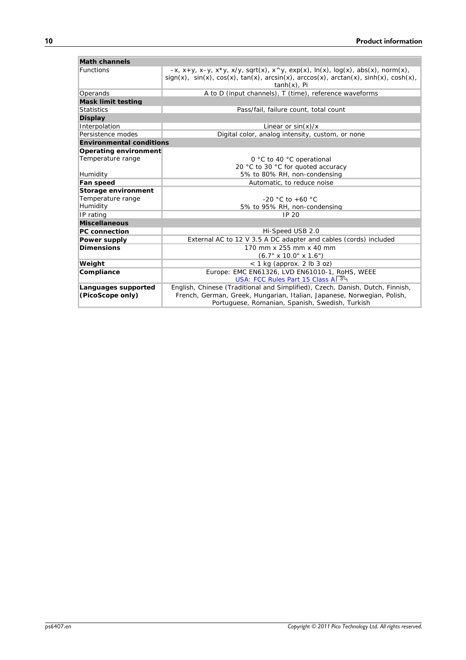<span id="page-13-1"></span><span id="page-13-0"></span>

| Math channels            |                                                                                                                                                                                                                      |
|--------------------------|----------------------------------------------------------------------------------------------------------------------------------------------------------------------------------------------------------------------|
| <b>Functions</b>         | $-x$ , x+y, x-y, x*y, x/y, sqrt(x), x^y, exp(x), ln(x), log(x), abs(x), norm(x),<br>$sign(x)$ , $sin(x)$ , $cos(x)$ , $tan(x)$ , $arcsin(x)$ , $arccos(x)$ , $arctan(x)$ , $sinh(x)$ , $cosh(x)$ ,<br>$tanh(x)$ , Pi |
| Operands                 | A to D (input channels), T (time), reference waveforms                                                                                                                                                               |
| Mask limit testing       |                                                                                                                                                                                                                      |
| <b>Statistics</b>        | Pass/fail, failure count, total count                                                                                                                                                                                |
| Display                  |                                                                                                                                                                                                                      |
| Interpolation            | Linear or $sin(x)/x$                                                                                                                                                                                                 |
| Persistence modes        | Digital color, analog intensity, custom, or none                                                                                                                                                                     |
| Environmental conditions |                                                                                                                                                                                                                      |
| Operating environment    |                                                                                                                                                                                                                      |
| Temperature range        | 0 °C to 40 °C operational                                                                                                                                                                                            |
|                          | 20 °C to 30 °C for quoted accuracy                                                                                                                                                                                   |
| Humidity                 | 5% to 80% RH, non-condensing                                                                                                                                                                                         |
| Fan speed                | Automatic, to reduce noise                                                                                                                                                                                           |
| Storage environment      |                                                                                                                                                                                                                      |
| Temperature range        | $-20$ °C to $+60$ °C                                                                                                                                                                                                 |
| Humidity                 | 5% to 95% RH, non-condensing                                                                                                                                                                                         |
| IP rating                | <b>IP 20</b>                                                                                                                                                                                                         |
| Miscellaneous            |                                                                                                                                                                                                                      |
| PC connection            | Hi-Speed USB 2.0                                                                                                                                                                                                     |
| Power supply             | External AC to 12 V 3.5 A DC adapter and cables (cords) included                                                                                                                                                     |
| Dimensions               | 170 mm x 255 mm x 40 mm                                                                                                                                                                                              |
|                          | $(6.7" \times 10.0" \times 1.6")$                                                                                                                                                                                    |
| Weight                   | $<$ 1 kg (approx. 2 lb 3 oz)                                                                                                                                                                                         |
| Compliance               | Europe: EMC EN61326, LVD EN61010-1, RoHS, WEEE                                                                                                                                                                       |
|                          | USA: FCC Rules Part 15 Class A 3 <sup>4</sup>                                                                                                                                                                        |
| Languages supported      | English, Chinese (Traditional and Simplified), Czech, Danish, Dutch, Finnish,                                                                                                                                        |
| (PicoScope only)         | French, German, Greek, Hungarian, Italian, Japanese, Norwegian, Polish,                                                                                                                                              |
|                          | Portuguese, Romanian, Spanish, Swedish, Turkish                                                                                                                                                                      |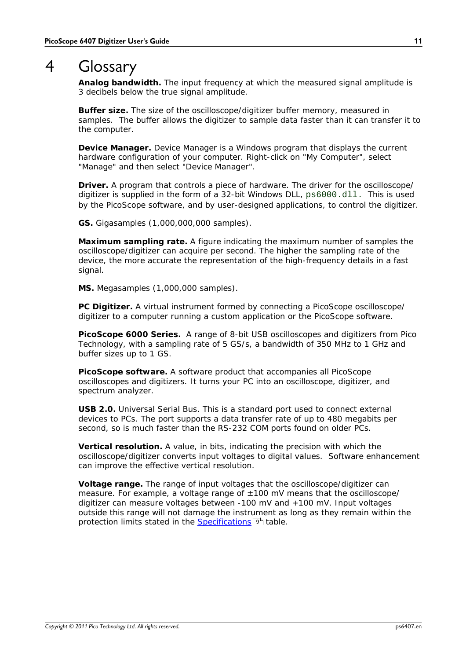# <span id="page-14-0"></span>4 Glossary

<span id="page-14-5"></span>**Analog bandwidth.** The input frequency at which the measured signal amplitude is 3 decibels below the true signal amplitude.

<span id="page-14-9"></span>**Buffer size.** The size of the oscilloscope/digitizer buffer memory, measured in samples. The buffer allows the digitizer to sample data faster than it can transfer it to the computer.

**Device Manager.** Device Manager is a Windows program that displays the current hardware configuration of your computer. Right-click on "My Computer", select "Manage" and then select "Device Manager".

**Driver.** A program that controls a piece of hardware. The driver for the oscilloscope/ digitizer is supplied in the form of a 32-bit Windows DLL, ps6000.dll. This is used by the PicoScope software, and by user-designed applications, to control the digitizer.

<span id="page-14-1"></span>**GS.** Gigasamples (1,000,000,000 samples).

<span id="page-14-8"></span>**Maximum sampling rate.** A figure indicating the maximum number of samples the oscilloscope/digitizer can acquire per second. The higher the sampling rate of the device, the more accurate the representation of the high-frequency details in a fast signal.

**MS.** Megasamples (1,000,000 samples).

**PC Digitizer.** A virtual instrument formed by connecting a PicoScope oscilloscope/ digitizer to a computer running a custom application or the PicoScope software.

<span id="page-14-2"></span>**PicoScope 6000 Series.** A range of 8-bit USB oscilloscopes and digitizers from Pico Technology, with a sampling rate of 5 GS/s, a bandwidth of 350 MHz to 1 GHz and buffer sizes up to 1 GS.

<span id="page-14-3"></span>**PicoScope software.** A software product that accompanies all PicoScope oscilloscopes and digitizers. It turns your PC into an oscilloscope, digitizer, and spectrum analyzer.

<span id="page-14-4"></span>**USB 2.0.** Universal Serial Bus. This is a standard port used to connect external devices to PCs. The port supports a data transfer rate of up to 480 megabits per second, so is much faster than the RS-232 COM ports found on older PCs.

<span id="page-14-7"></span>**Vertical resolution.** A value, in bits, indicating the precision with which the oscilloscope/digitizer converts input voltages to digital values. Software enhancement can improve the effective vertical resolution.

<span id="page-14-6"></span>**Voltage range.** The range of input voltages that the oscilloscope/digitizer can measure. For example, a voltage range of  $\pm 100$  mV means that the oscilloscope/ digitizer can measure voltages between -100 mV and +100 mV. Input voltages outside this range will not damage the instrument as long as they remain within the protection limits stated in the [Specifications](#page-12-0)  $9^{\circ}$  table.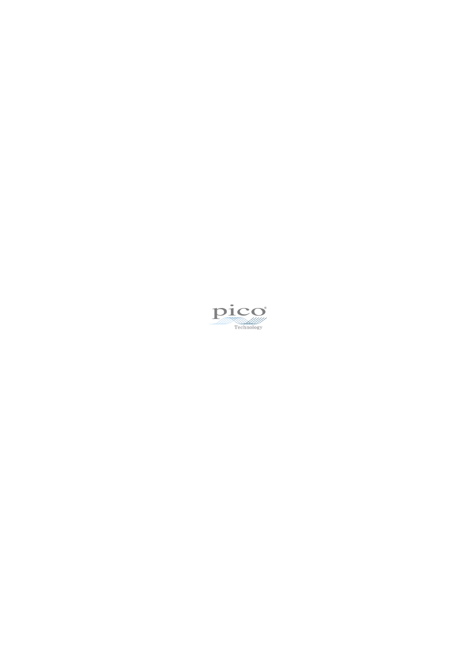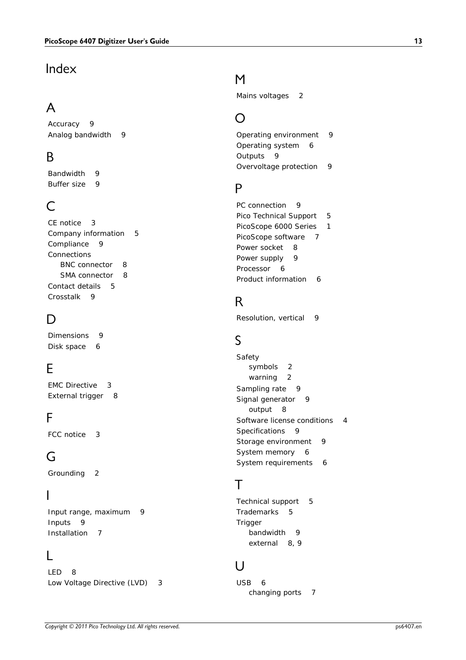$\begin{tabular}{|c||c|} \hline \textbf{Index} & \textbf{M} & \textbf{Main} & \textbf{Main} & \textbf{Mail} \\ \hline \textbf{A} & \textbf{B} & \textbf{B} & \textbf{B} & \textbf{B} & \textbf{B} \\ \hline \textbf{A} & \textbf{A} & \textbf{B} & \textbf{B} & \textbf{B} & \textbf{B} & \textbf{B} \\ \hline \textbf{B} & \textbf{B} & \textbf{B} & \textbf{B} & \textbf{B} & \textbf{B} & \textbf{B} & \textbf{B} \\ \hline \textbf{B} & \textbf{$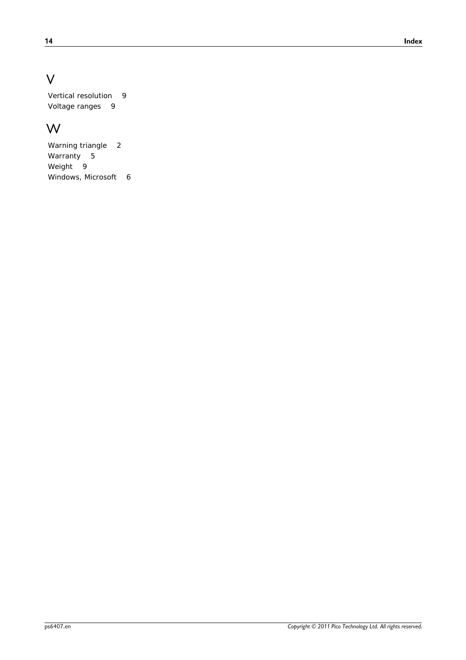# V

Vertical resolution 9 Voltage ranges 9

# W<sub>y</sub> and the set of the set of the set of the set of the set of the set of the set of the set of the set of the set of the set of the set of the set of the set of the set of the set of the set of the set of the set of the

Warning triangle 2 Warranty 5 Weight 9 Windows, Microsoft 6